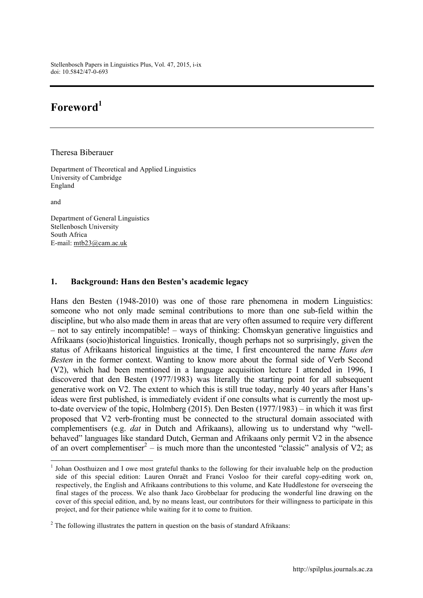Stellenbosch Papers in Linguistics Plus, Vol. 47, 2015, i-ix doi: 10.5842/47-0-693

## **Foreword<sup>1</sup>**

Theresa Biberauer

Department of Theoretical and Applied Linguistics University of Cambridge England

and

Department of General Linguistics Stellenbosch University South Africa E-mail: mtb23@cam.ac.uk

## **1. Background: Hans den Besten's academic legacy**

Hans den Besten (1948-2010) was one of those rare phenomena in modern Linguistics: someone who not only made seminal contributions to more than one sub-field within the discipline, but who also made them in areas that are very often assumed to require very different – not to say entirely incompatible! – ways of thinking: Chomskyan generative linguistics and Afrikaans (socio)historical linguistics. Ironically, though perhaps not so surprisingly, given the status of Afrikaans historical linguistics at the time, I first encountered the name *Hans den Besten* in the former context. Wanting to know more about the formal side of Verb Second (V2), which had been mentioned in a language acquisition lecture I attended in 1996, I discovered that den Besten (1977/1983) was literally the starting point for all subsequent generative work on V2. The extent to which this is still true today, nearly 40 years after Hans's ideas were first published, is immediately evident if one consults what is currently the most upto-date overview of the topic, Holmberg (2015). Den Besten (1977/1983) – in which it was first proposed that V2 verb-fronting must be connected to the structural domain associated with complementisers (e.g. *dat* in Dutch and Afrikaans), allowing us to understand why "wellbehaved" languages like standard Dutch, German and Afrikaans only permit V2 in the absence of an overt complementiser<sup>2</sup> – is much more than the uncontested "classic" analysis of V2; as

<sup>&</sup>lt;sup>1</sup> Johan Oosthuizen and I owe most grateful thanks to the following for their invaluable help on the production side of this special edition: Lauren Onraët and Franci Vosloo for their careful copy-editing work on, respectively, the English and Afrikaans contributions to this volume, and Kate Huddlestone for overseeing the final stages of the process. We also thank Jaco Grobbelaar for producing the wonderful line drawing on the cover of this special edition, and, by no means least, our contributors for their willingness to participate in this project, and for their patience while waiting for it to come to fruition.

 $2$  The following illustrates the pattern in question on the basis of standard Afrikaans: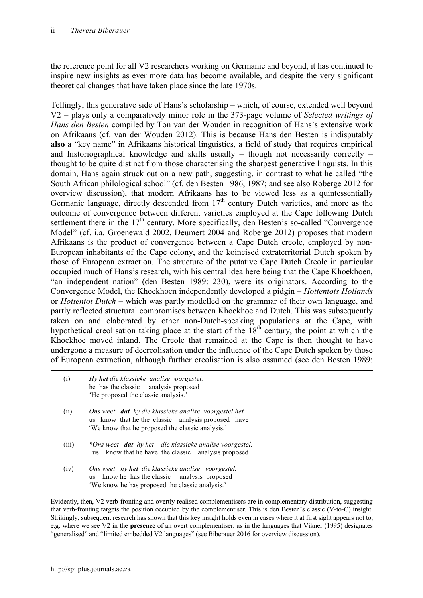the reference point for all V2 researchers working on Germanic and beyond, it has continued to inspire new insights as ever more data has become available, and despite the very significant theoretical changes that have taken place since the late 1970s.

Tellingly, this generative side of Hans's scholarship – which, of course, extended well beyond V2 – plays only a comparatively minor role in the 373-page volume of *Selected writings of Hans den Besten* compiled by Ton van der Wouden in recognition of Hans's extensive work on Afrikaans (cf. van der Wouden 2012). This is because Hans den Besten is indisputably **also** a "key name" in Afrikaans historical linguistics, a field of study that requires empirical and historiographical knowledge and skills usually – though not necessarily correctly – thought to be quite distinct from those characterising the sharpest generative linguists. In this domain, Hans again struck out on a new path, suggesting, in contrast to what he called "the South African philological school" (cf. den Besten 1986, 1987; and see also Roberge 2012 for overview discussion), that modern Afrikaans has to be viewed less as a quintessentially Germanic language, directly descended from  $17<sup>th</sup>$  century Dutch varieties, and more as the outcome of convergence between different varieties employed at the Cape following Dutch settlement there in the  $17<sup>th</sup>$  century. More specifically, den Besten's so-called "Convergence" Model" (cf. i.a. Groenewald 2002, Deumert 2004 and Roberge 2012) proposes that modern Afrikaans is the product of convergence between a Cape Dutch creole, employed by non-European inhabitants of the Cape colony, and the koineised extraterritorial Dutch spoken by those of European extraction. The structure of the putative Cape Dutch Creole in particular occupied much of Hans's research, with his central idea here being that the Cape Khoekhoen, "an independent nation" (den Besten 1989: 230), were its originators. According to the Convergence Model, the Khoekhoen independently developed a pidgin – *Hottentots Hollands* or *Hottentot Dutch* – which was partly modelled on the grammar of their own language, and partly reflected structural compromises between Khoekhoe and Dutch. This was subsequently taken on and elaborated by other non-Dutch-speaking populations at the Cape, with hypothetical creolisation taking place at the start of the  $18<sup>th</sup>$  century, the point at which the Khoekhoe moved inland. The Creole that remained at the Cape is then thought to have undergone a measure of decreolisation under the influence of the Cape Dutch spoken by those of European extraction, although further creolisation is also assumed (see den Besten 1989:

| (i)   | Hy het die klassieke analise voorgestel.<br>he has the classic analysis proposed<br>'He proposed the classic analysis.'                                         |
|-------|-----------------------------------------------------------------------------------------------------------------------------------------------------------------|
| (ii)  | Ons weet dat hy die klassieke analise voorgestel het.<br>us know that he the classic analysis proposed have<br>'We know that he proposed the classic analysis.' |
| (iii) | *Ons weet dat hy het die klassieke analise voorgestel.<br>us know that he have the classic analysis proposed                                                    |
| (iv)  | Ons weet hy <b>het</b> die klassieke analise voorgestel.<br>us know he has the classic analysis proposed                                                        |

'We know he has proposed the classic analysis.'

Evidently, then, V2 verb-fronting and overtly realised complementisers are in complementary distribution, suggesting that verb-fronting targets the position occupied by the complementiser. This is den Besten's classic (V-to-C) insight. Strikingly, subsequent research has shown that this key insight holds even in cases where it at first sight appears not to, e.g. where we see V2 in the **presence** of an overt complementiser, as in the languages that Vikner (1995) designates "generalised" and "limited embedded V2 languages" (see Biberauer 2016 for overview discussion).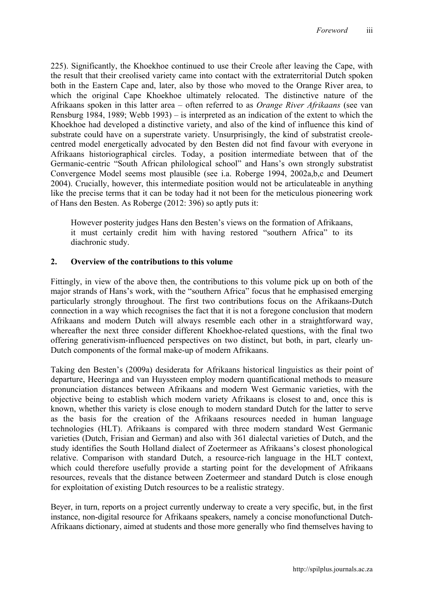225). Significantly, the Khoekhoe continued to use their Creole after leaving the Cape, with the result that their creolised variety came into contact with the extraterritorial Dutch spoken both in the Eastern Cape and, later, also by those who moved to the Orange River area, to which the original Cape Khoekhoe ultimately relocated. The distinctive nature of the Afrikaans spoken in this latter area – often referred to as *Orange River Afrikaans* (see van Rensburg 1984, 1989; Webb 1993) – is interpreted as an indication of the extent to which the Khoekhoe had developed a distinctive variety, and also of the kind of influence this kind of substrate could have on a superstrate variety. Unsurprisingly, the kind of substratist creolecentred model energetically advocated by den Besten did not find favour with everyone in Afrikaans historiographical circles. Today, a position intermediate between that of the Germanic-centric "South African philological school" and Hans's own strongly substratist Convergence Model seems most plausible (see i.a. Roberge 1994, 2002a,b,c and Deumert 2004). Crucially, however, this intermediate position would not be articulateable in anything like the precise terms that it can be today had it not been for the meticulous pioneering work of Hans den Besten. As Roberge (2012: 396) so aptly puts it:

However posterity judges Hans den Besten's views on the formation of Afrikaans, it must certainly credit him with having restored "southern Africa" to its diachronic study.

## **2. Overview of the contributions to this volume**

Fittingly, in view of the above then, the contributions to this volume pick up on both of the major strands of Hans's work, with the "southern Africa" focus that he emphasised emerging particularly strongly throughout. The first two contributions focus on the Afrikaans-Dutch connection in a way which recognises the fact that it is not a foregone conclusion that modern Afrikaans and modern Dutch will always resemble each other in a straightforward way, whereafter the next three consider different Khoekhoe-related questions, with the final two offering generativism-influenced perspectives on two distinct, but both, in part, clearly un-Dutch components of the formal make-up of modern Afrikaans.

Taking den Besten's (2009a) desiderata for Afrikaans historical linguistics as their point of departure, Heeringa and van Huyssteen employ modern quantificational methods to measure pronunciation distances between Afrikaans and modern West Germanic varieties, with the objective being to establish which modern variety Afrikaans is closest to and, once this is known, whether this variety is close enough to modern standard Dutch for the latter to serve as the basis for the creation of the Afrikaans resources needed in human language technologies (HLT). Afrikaans is compared with three modern standard West Germanic varieties (Dutch, Frisian and German) and also with 361 dialectal varieties of Dutch, and the study identifies the South Holland dialect of Zoetermeer as Afrikaans's closest phonological relative. Comparison with standard Dutch, a resource-rich language in the HLT context, which could therefore usefully provide a starting point for the development of Afrikaans resources, reveals that the distance between Zoetermeer and standard Dutch is close enough for exploitation of existing Dutch resources to be a realistic strategy.

Beyer, in turn, reports on a project currently underway to create a very specific, but, in the first instance, non-digital resource for Afrikaans speakers, namely a concise monofunctional Dutch-Afrikaans dictionary, aimed at students and those more generally who find themselves having to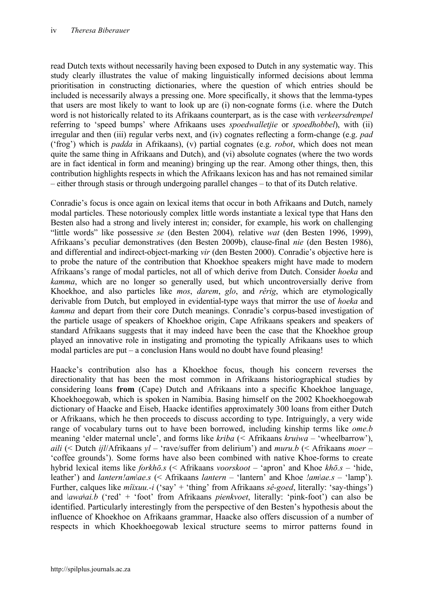read Dutch texts without necessarily having been exposed to Dutch in any systematic way. This study clearly illustrates the value of making linguistically informed decisions about lemma prioritisation in constructing dictionaries, where the question of which entries should be included is necessarily always a pressing one. More specifically, it shows that the lemma-types that users are most likely to want to look up are (i) non-cognate forms (i.e. where the Dutch word is not historically related to its Afrikaans counterpart, as is the case with *verkeersdrempel*  referring to 'speed bumps' where Afrikaans uses *spoedwalletjie* or *spoedhobbel*), with (ii) irregular and then (iii) regular verbs next, and (iv) cognates reflecting a form-change (e.g. *pad*  ('frog') which is *padda* in Afrikaans), (v) partial cognates (e.g. *robot*, which does not mean quite the same thing in Afrikaans and Dutch), and (vi) absolute cognates (where the two words are in fact identical in form and meaning) bringing up the rear. Among other things, then, this contribution highlights respects in which the Afrikaans lexicon has and has not remained similar – either through stasis or through undergoing parallel changes – to that of its Dutch relative.

Conradie's focus is once again on lexical items that occur in both Afrikaans and Dutch, namely modal particles. These notoriously complex little words instantiate a lexical type that Hans den Besten also had a strong and lively interest in; consider, for example, his work on challenging "little words" like possessive *se* (den Besten 2004)*,* relative *wat* (den Besten 1996, 1999), Afrikaans's peculiar demonstratives (den Besten 2009b), clause-final *nie* (den Besten 1986), and differential and indirect-object-marking *vir* (den Besten 2000). Conradie's objective here is to probe the nature of the contribution that Khoekhoe speakers might have made to modern Afrikaans's range of modal particles, not all of which derive from Dutch. Consider *hoeka* and *kamma*, which are no longer so generally used, but which uncontroversially derive from Khoekhoe, and also particles like *mos*, *darem*, *glo*, and *rêrig*, which are etymologically derivable from Dutch, but employed in evidential-type ways that mirror the use of *hoeka* and *kamma* and depart from their core Dutch meanings. Conradie's corpus-based investigation of the particle usage of speakers of Khoekhoe origin, Cape Afrikaans speakers and speakers of standard Afrikaans suggests that it may indeed have been the case that the Khoekhoe group played an innovative role in instigating and promoting the typically Afrikaans uses to which modal particles are put – a conclusion Hans would no doubt have found pleasing!

Haacke's contribution also has a Khoekhoe focus, though his concern reverses the directionality that has been the most common in Afrikaans historiographical studies by considering loans **from** (Cape) Dutch and Afrikaans into a specific Khoekhoe language, Khoekhoegowab, which is spoken in Namibia. Basing himself on the 2002 Khoekhoegowab dictionary of Haacke and Eiseb, Haacke identifies approximately 300 loans from either Dutch or Afrikaans, which he then proceeds to discuss according to type. Intriguingly, a very wide range of vocabulary turns out to have been borrowed, including kinship terms like *ome.b* meaning 'elder maternal uncle', and forms like *kriba* (*<* Afrikaans *kruiwa –* 'wheelbarrow'), *aili* (< Dutch *ijl*/Afrikaans *yl* – 'rave/suffer from delirium') and *muru.b* (< Afrikaans *moer* – 'coffee grounds'). Some forms have also been combined with native Khoe-forms to create hybrid lexical items like *forkhō.s* (< Afrikaans *voorskoot* – 'apron' and Khoe *khō.s* – 'hide, leather') and *lantern!am*|*ae.s* (< Afrikaans *lantern* – 'lantern' and Khoe *!am*|*ae.s* – 'lamp'). Further, calques like *mîixuu.-i* ('say' + 'thing' from Afrikaans *sê-goed*, literally: 'say-things') and *ǀawaǂai.b* ('red' + 'foot' from Afrikaans *pienkvoet*, literally: 'pink-foot') can also be identified. Particularly interestingly from the perspective of den Besten's hypothesis about the influence of Khoekhoe on Afrikaans grammar, Haacke also offers discussion of a number of respects in which Khoekhoegowab lexical structure seems to mirror patterns found in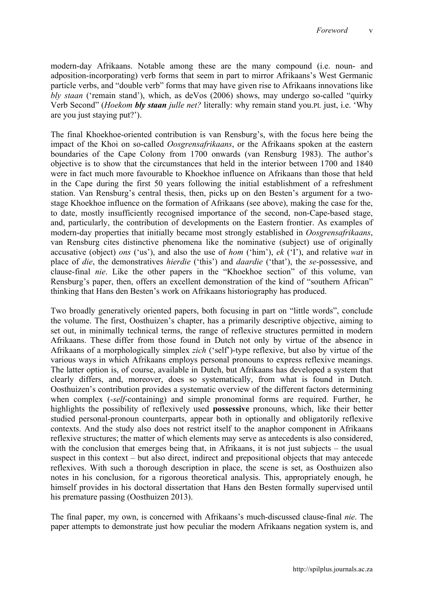modern-day Afrikaans. Notable among these are the many compound (i.e. noun- and adposition-incorporating) verb forms that seem in part to mirror Afrikaans's West Germanic particle verbs, and "double verb" forms that may have given rise to Afrikaans innovations like *bly staan* ('remain stand'), which, as deVos (2006) shows, may undergo so-called "quirky Verb Second" (*Hoekom bly staan julle net?* literally: why remain stand you.PL just, i.e. 'Why are you just staying put?').

The final Khoekhoe-oriented contribution is van Rensburg's, with the focus here being the impact of the Khoi on so-called *Oosgrensafrikaans*, or the Afrikaans spoken at the eastern boundaries of the Cape Colony from 1700 onwards (van Rensburg 1983). The author's objective is to show that the circumstances that held in the interior between 1700 and 1840 were in fact much more favourable to Khoekhoe influence on Afrikaans than those that held in the Cape during the first 50 years following the initial establishment of a refreshment station. Van Rensburg's central thesis, then, picks up on den Besten's argument for a twostage Khoekhoe influence on the formation of Afrikaans (see above), making the case for the, to date, mostly insufficiently recognised importance of the second, non-Cape-based stage, and, particularly, the contribution of developments on the Eastern frontier. As examples of modern-day properties that initially became most strongly established in *Oosgrensafrikaans*, van Rensburg cites distinctive phenomena like the nominative (subject) use of originally accusative (object) *ons* ('us'), and also the use of *hom* ('him'), *ek* ('I'), and relative *wat* in place of *die*, the demonstratives *hierdie* ('this') and *daardie* ('that'), the *se-*possessive, and clause-final *nie*. Like the other papers in the "Khoekhoe section" of this volume, van Rensburg's paper, then, offers an excellent demonstration of the kind of "southern African" thinking that Hans den Besten's work on Afrikaans historiography has produced.

Two broadly generatively oriented papers, both focusing in part on "little words", conclude the volume. The first, Oosthuizen's chapter, has a primarily descriptive objective, aiming to set out, in minimally technical terms, the range of reflexive structures permitted in modern Afrikaans. These differ from those found in Dutch not only by virtue of the absence in Afrikaans of a morphologically simplex *zich* ('self')-type reflexive, but also by virtue of the various ways in which Afrikaans employs personal pronouns to express reflexive meanings. The latter option is, of course, available in Dutch, but Afrikaans has developed a system that clearly differs, and, moreover, does so systematically, from what is found in Dutch. Oosthuizen's contribution provides a systematic overview of the different factors determining when complex (*-self*-containing) and simple pronominal forms are required. Further, he highlights the possibility of reflexively used **possessive** pronouns, which, like their better studied personal-pronoun counterparts, appear both in optionally and obligatorily reflexive contexts. And the study also does not restrict itself to the anaphor component in Afrikaans reflexive structures; the matter of which elements may serve as antecedents is also considered, with the conclusion that emerges being that, in Afrikaans, it is not just subjects – the usual suspect in this context – but also direct, indirect and prepositional objects that may antecede reflexives. With such a thorough description in place, the scene is set, as Oosthuizen also notes in his conclusion, for a rigorous theoretical analysis. This, appropriately enough, he himself provides in his doctoral dissertation that Hans den Besten formally supervised until his premature passing (Oosthuizen 2013).

The final paper, my own, is concerned with Afrikaans's much-discussed clause-final *nie*. The paper attempts to demonstrate just how peculiar the modern Afrikaans negation system is, and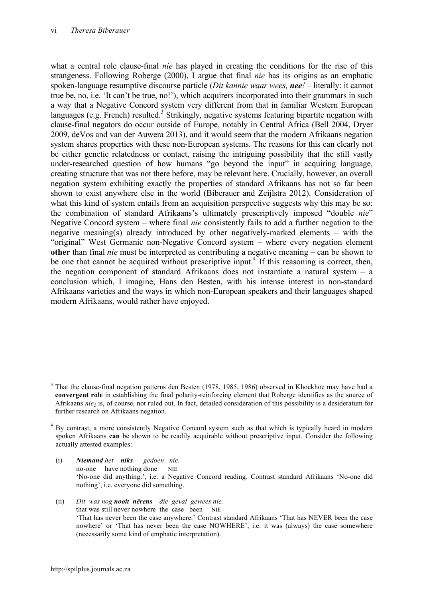what a central role clause-final *nie* has played in creating the conditions for the rise of this strangeness. Following Roberge (2000), I argue that final *nie* has its origins as an emphatic spoken-language resumptive discourse particle (*Dit kannie waar wees, nee!* – literally: it cannot true be, no, i.e. 'It can't be true, no!'), which acquirers incorporated into their grammars in such a way that a Negative Concord system very different from that in familiar Western European languages (e.g. French) resulted.<sup>3</sup> Strikingly, negative systems featuring bipartite negation with clause-final negators do occur outside of Europe, notably in Central Africa (Bell 2004, Dryer 2009, deVos and van der Auwera 2013), and it would seem that the modern Afrikaans negation system shares properties with these non-European systems. The reasons for this can clearly not be either genetic relatedness or contact, raising the intriguing possibility that the still vastly under-researched question of how humans "go beyond the input" in acquiring language, creating structure that was not there before, may be relevant here. Crucially, however, an overall negation system exhibiting exactly the properties of standard Afrikaans has not so far been shown to exist anywhere else in the world (Biberauer and Zeijlstra 2012). Consideration of what this kind of system entails from an acquisition perspective suggests why this may be so: the combination of standard Afrikaans's ultimately prescriptively imposed "double *nie*" Negative Concord system – where final *nie* consistently fails to add a further negation to the negative meaning(s) already introduced by other negatively-marked elements – with the "original" West Germanic non-Negative Concord system – where every negation element **other** than final *nie* must be interpreted as contributing a negative meaning – can be shown to be one that cannot be acquired without prescriptive input.<sup>4</sup> If this reasoning is correct, then, the negation component of standard Afrikaans does not instantiate a natural system – a conclusion which, I imagine, Hans den Besten, with his intense interest in non-standard Afrikaans varieties and the ways in which non-European speakers and their languages shaped modern Afrikaans, would rather have enjoyed.

- (i) *Niemand het niks gedoen nie.* no-one have nothing done NIE 'No-one did anything.', i.e. a Negative Concord reading. Contrast standard Afrikaans 'No-one did nothing', i.e. everyone did something.
- (ii) *Dit was nog nooit nêrens die geval gewees nie.* that was still never nowhere the case been NIE 'That has never been the case anywhere.' Contrast standard Afrikaans 'That has NEVER been the case nowhere' or 'That has never been the case NOWHERE', i.e. it was (always) the case somewhere (necessarily some kind of emphatic interpretation).

<sup>&</sup>lt;sup>3</sup> That the clause-final negation patterns den Besten (1978, 1985, 1986) observed in Khoekhoe may have had a **convergent role** in establishing the final polarity-reinforcing element that Roberge identifies as the source of Afrikaans *nie<sub>2</sub>* is, of course, not ruled out. In fact, detailed consideration of this possibility is a desideratum for further research on Afrikaans negation.

<sup>4</sup> By contrast, a more consistently Negative Concord system such as that which is typically heard in modern spoken Afrikaans **can** be shown to be readily acquirable without prescriptive input. Consider the following actually attested examples: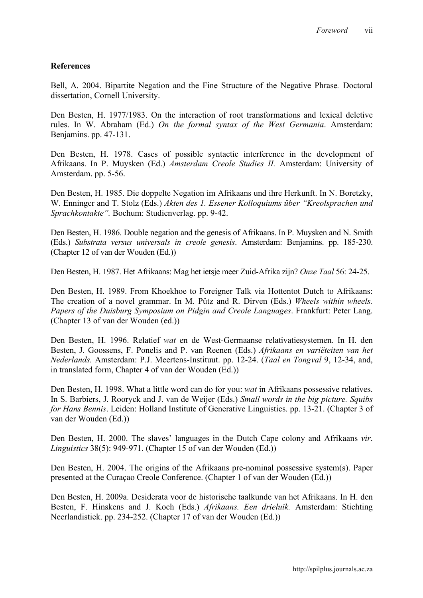## **References**

Bell, A. 2004. Bipartite Negation and the Fine Structure of the Negative Phrase*.* Doctoral dissertation, Cornell University.

Den Besten, H. 1977/1983. On the interaction of root transformations and lexical deletive rules. In W. Abraham (Ed.) *On the formal syntax of the West Germania*. Amsterdam: Benjamins. pp. 47-131.

Den Besten, H. 1978. Cases of possible syntactic interference in the development of Afrikaans. In P. Muysken (Ed.) *Amsterdam Creole Studies II.* Amsterdam: University of Amsterdam. pp. 5-56.

Den Besten, H. 1985. Die doppelte Negation im Afrikaans und ihre Herkunft. In N. Boretzky, W. Enninger and T. Stolz (Eds.) *Akten des 1. Essener Kolloquiums über "Kreolsprachen und Sprachkontakte".* Bochum: Studienverlag. pp. 9-42.

Den Besten, H. 1986. Double negation and the genesis of Afrikaans. In P. Muysken and N. Smith (Eds.) *Substrata versus universals in creole genesis*. Amsterdam: Benjamins. pp. 185-230. (Chapter 12 of van der Wouden (Ed.))

Den Besten, H. 1987. Het Afrikaans: Mag het ietsje meer Zuid-Afrika zijn? *Onze Taal* 56: 24-25.

Den Besten, H. 1989. From Khoekhoe to Foreigner Talk via Hottentot Dutch to Afrikaans: The creation of a novel grammar. In M. Pütz and R. Dirven (Eds.) *Wheels within wheels. Papers of the Duisburg Symposium on Pidgin and Creole Languages*. Frankfurt: Peter Lang. (Chapter 13 of van der Wouden (ed.))

Den Besten, H. 1996. Relatief *wat* en de West-Germaanse relativatiesystemen. In H. den Besten, J. Goossens, F. Ponelis and P. van Reenen (Eds.) *Afrikaans en variëteiten van het Nederlands.* Amsterdam: P.J. Meertens-Instituut. pp. 12-24. (*Taal en Tongval* 9, 12-34, and, in translated form, Chapter 4 of van der Wouden (Ed.))

Den Besten, H. 1998. What a little word can do for you: *wat* in Afrikaans possessive relatives. In S. Barbiers, J. Rooryck and J. van de Weijer (Eds.) *Small words in the big picture. Squibs for Hans Bennis*. Leiden: Holland Institute of Generative Linguistics. pp. 13-21. (Chapter 3 of van der Wouden (Ed.))

Den Besten, H. 2000. The slaves' languages in the Dutch Cape colony and Afrikaans *vir*. *Linguistics* 38(5): 949-971. (Chapter 15 of van der Wouden (Ed.))

Den Besten, H. 2004. The origins of the Afrikaans pre-nominal possessive system(s). Paper presented at the Curaçao Creole Conference. (Chapter 1 of van der Wouden (Ed.))

Den Besten, H. 2009a. Desiderata voor de historische taalkunde van het Afrikaans. In H. den Besten, F. Hinskens and J. Koch (Eds.) *Afrikaans. Een drieluik.* Amsterdam: Stichting Neerlandistiek. pp. 234-252. (Chapter 17 of van der Wouden (Ed.))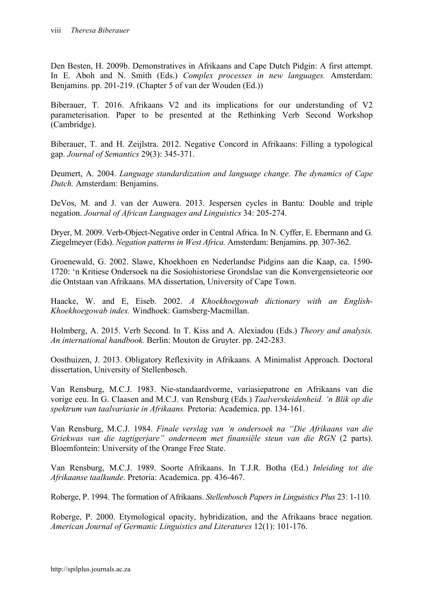Den Besten, H. 2009b. Demonstratives in Afrikaans and Cape Dutch Pidgin: A first attempt. In E. Aboh and N. Smith (Eds.) *Complex processes in new languages.* Amsterdam: Benjamins. pp. 201-219. (Chapter 5 of van der Wouden (Ed.))

Biberauer, T. 2016. Afrikaans V2 and its implications for our understanding of V2 parameterisation. Paper to be presented at the Rethinking Verb Second Workshop (Cambridge).

Biberauer, T. and H. Zeijlstra. 2012. Negative Concord in Afrikaans: Filling a typological gap. *Journal of Semantics* 29(3): 345-371.

Deumert, A. 2004. *Language standardization and language change. The dynamics of Cape Dutch.* Amsterdam: Benjamins.

DeVos, M. and J. van der Auwera. 2013. Jespersen cycles in Bantu: Double and triple negation. *Journal of African Languages and Linguistics* 34: 205-274.

Dryer, M. 2009. Verb-Object-Negative order in Central Africa. In N. Cyffer, E. Ebermann and G. Ziegelmeyer (Eds). *Negation patterns in West Africa.* Amsterdam: Benjamins. pp. 307-362.

Groenewald, G. 2002. Slawe, Khoekhoen en Nederlandse Pidgins aan die Kaap, ca. 1590- 1720: 'n Kritiese Ondersoek na die Sosiohistoriese Grondslae van die Konvergensieteorie oor die Ontstaan van Afrikaans. MA dissertation, University of Cape Town.

Haacke, W. and E, Eiseb. 2002. *A Khoekhoegowab dictionary with an English-Khoekhoegowab index.* Windhoek: Gamsberg-Macmillan.

Holmberg, A. 2015. Verb Second. In T. Kiss and A. Alexiadou (Eds.) *Theory and analysis. An international handbook.* Berlin: Mouton de Gruyter. pp. 242-283.

Oosthuizen, J. 2013. Obligatory Reflexivity in Afrikaans. A Minimalist Approach. Doctoral dissertation, University of Stellenbosch.

Van Rensburg, M.C.J. 1983. Nie-standaardvorme, variasiepatrone en Afrikaans van die vorige eeu. In G. Claasen and M.C.J. van Rensburg (Eds.) *Taalverskeidenheid. 'n Blik op die spektrum van taalvariasie in Afrikaans.* Pretoria: Academica. pp. 134-161.

Van Rensburg, M.C.J. 1984. *Finale verslag van 'n ondersoek na "Die Afrikaans van die Griekwas van die tagtigerjare" onderneem met finansiële steun van die RGN* (2 parts). Bloemfontein: University of the Orange Free State.

Van Rensburg, M.C.J. 1989. Soorte Afrikaans. In T.J.R. Botha (Ed.) *Inleiding tot die Afrikaanse taalkunde*. Pretoria: Academica. pp. 436-467.

Roberge, P. 1994. The formation of Afrikaans. *Stellenbosch Papers in Linguistics Plus* 23: 1-110.

Roberge, P. 2000. Etymological opacity, hybridization, and the Afrikaans brace negation. *American Journal of Germanic Linguistics and Literatures* 12(1): 101-176.